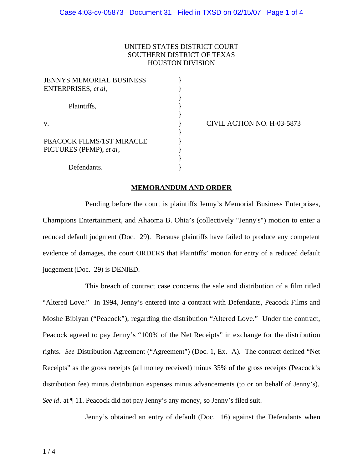## UNITED STATES DISTRICT COURT SOUTHERN DISTRICT OF TEXAS HOUSTON DIVISION

| <b>JENNYS MEMORIAL BUSINESS</b> |  |
|---------------------------------|--|
| ENTERPRISES, et al.             |  |
|                                 |  |
| Plaintiffs,                     |  |
|                                 |  |
| V.                              |  |
|                                 |  |
| PEACOCK FILMS/1ST MIRACLE       |  |
| PICTURES (PFMP), et al,         |  |
|                                 |  |
| Defendants.                     |  |

v. } CIVIL ACTION NO. H-03-5873

## **MEMORANDUM AND ORDER**

Pending before the court is plaintiffs Jenny's Memorial Business Enterprises, Champions Entertainment, and Ahaoma B. Ohia's (collectively "Jenny's") motion to enter a reduced default judgment (Doc. 29). Because plaintiffs have failed to produce any competent evidence of damages, the court ORDERS that Plaintiffs' motion for entry of a reduced default judgement (Doc. 29) is DENIED.

This breach of contract case concerns the sale and distribution of a film titled "Altered Love." In 1994, Jenny's entered into a contract with Defendants, Peacock Films and Moshe Bibiyan ("Peacock"), regarding the distribution "Altered Love." Under the contract, Peacock agreed to pay Jenny's "100% of the Net Receipts" in exchange for the distribution rights. *See* Distribution Agreement ("Agreement") (Doc. 1, Ex. A). The contract defined "Net Receipts" as the gross receipts (all money received) minus 35% of the gross receipts (Peacock's distribution fee) minus distribution expenses minus advancements (to or on behalf of Jenny's). *See id*. at ¶ 11. Peacock did not pay Jenny's any money, so Jenny's filed suit.

Jenny's obtained an entry of default (Doc. 16) against the Defendants when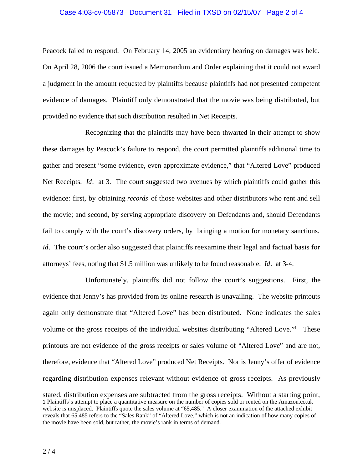## Case 4:03-cv-05873 Document 31 Filed in TXSD on 02/15/07 Page 2 of 4

Peacock failed to respond. On February 14, 2005 an evidentiary hearing on damages was held. On April 28, 2006 the court issued a Memorandum and Order explaining that it could not award a judgment in the amount requested by plaintiffs because plaintiffs had not presented competent evidence of damages. Plaintiff only demonstrated that the movie was being distributed, but provided no evidence that such distribution resulted in Net Receipts.

Recognizing that the plaintiffs may have been thwarted in their attempt to show these damages by Peacock's failure to respond, the court permitted plaintiffs additional time to gather and present "some evidence, even approximate evidence," that "Altered Love" produced Net Receipts. *Id*. at 3. The court suggested two avenues by which plaintiffs could gather this evidence: first, by obtaining *records* of those websites and other distributors who rent and sell the movie; and second, by serving appropriate discovery on Defendants and, should Defendants fail to comply with the court's discovery orders, by bringing a motion for monetary sanctions. *Id*. The court's order also suggested that plaintiffs reexamine their legal and factual basis for attorneys' fees, noting that \$1.5 million was unlikely to be found reasonable. *Id*. at 3-4.

Unfortunately, plaintiffs did not follow the court's suggestions. First, the evidence that Jenny's has provided from its online research is unavailing. The website printouts again only demonstrate that "Altered Love" has been distributed. None indicates the sales volume or the gross receipts of the individual websites distributing "Altered Love."<sup>1</sup> These printouts are not evidence of the gross receipts or sales volume of "Altered Love" and are not, therefore, evidence that "Altered Love" produced Net Receipts. Nor is Jenny's offer of evidence regarding distribution expenses relevant without evidence of gross receipts. As previously

stated, distribution expenses are subtracted from the gross receipts. Without a starting point, 1 Plaintiffs's attempt to place a quantitative measure on the number of copies sold or rented on the Amazon.co.uk website is misplaced. Plaintiffs quote the sales volume at "65,485." A closer examination of the attached exhibit reveals that 65,485 refers to the "Sales Rank" of "Altered Love," which is not an indication of how many copies of the movie have been sold, but rather, the movie's rank in terms of demand.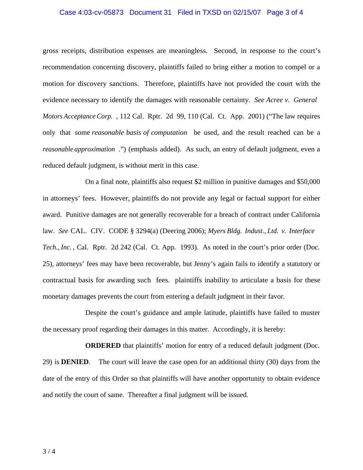## Case 4:03-cv-05873 Document 31 Filed in TXSD on 02/15/07 Page 3 of 4

gross receipts, distribution expenses are meaningless. Second, in response to the court's recommendation concerning discovery, plaintiffs failed to bring either a motion to compel or a motion for discovery sanctions. Therefore, plaintiffs have not provided the court with the evidence necessary to identify the damages with reasonable certainty. *See Acree v. General Motors Acceptance Corp.* , 112 Cal. Rptr. 2d 99, 110 (Cal. Ct. App. 2001) ("The law requires only that some *reasonable basis of computation* be used, and the result reached can be a *reasonable approximation* .") (emphasis added). As such, an entry of default judgment, even a reduced default judgment, is without merit in this case.

On a final note, plaintiffs also request \$2 million in punitive damages and \$50,000 in attorneys' fees. However, plaintiffs do not provide any legal or factual support for either award. Punitive damages are not generally recoverable for a breach of contract under California law. *See* CAL. CIV. CODE § 3294(a) (Deering 2006); *Myers Bldg. Indust., Ltd. v. Interface Tech., Inc.* , Cal. Rptr. 2d 242 (Cal. Ct. App. 1993). As noted in the court's prior order (Doc. 25), attorneys' fees may have been recoverable, but Jenny's again fails to identify a statutory or contractual basis for awarding such fees. plaintiffs inability to articulate a basis for these monetary damages prevents the court from entering a default judgment in their favor.

Despite the court's guidance and ample latitude, plaintiffs have failed to muster the necessary proof regarding their damages in this matter. Accordingly, it is hereby:

**ORDERED** that plaintiffs' motion for entry of a reduced default judgment (Doc. 29) is **DENIED**. The court will leave the case open for an additional thirty (30) days from the date of the entry of this Order so that plaintiffs will have another opportunity to obtain evidence and notify the court of same. Thereafter a final judgment will be issued.